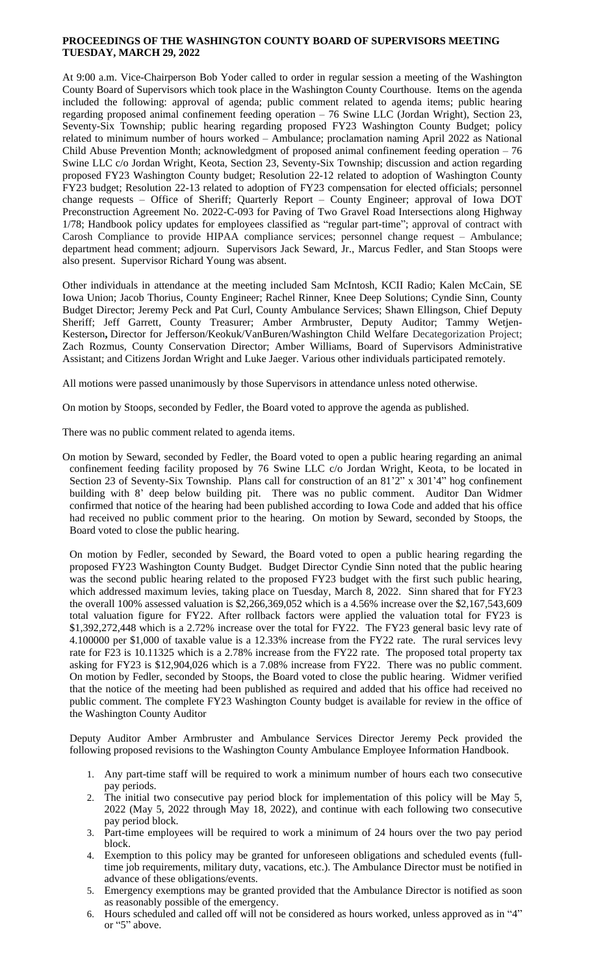# **PROCEEDINGS OF THE WASHINGTON COUNTY BOARD OF SUPERVISORS MEETING TUESDAY, MARCH 29, 2022**

At 9:00 a.m. Vice-Chairperson Bob Yoder called to order in regular session a meeting of the Washington County Board of Supervisors which took place in the Washington County Courthouse. Items on the agenda included the following: approval of agenda; public comment related to agenda items; public hearing regarding proposed animal confinement feeding operation – 76 Swine LLC (Jordan Wright), Section 23, Seventy-Six Township; public hearing regarding proposed FY23 Washington County Budget; policy related to minimum number of hours worked – Ambulance; proclamation naming April 2022 as National Child Abuse Prevention Month; acknowledgment of proposed animal confinement feeding operation – 76 Swine LLC c/o Jordan Wright, Keota, Section 23, Seventy-Six Township; discussion and action regarding proposed FY23 Washington County budget; Resolution 22-12 related to adoption of Washington County FY23 budget; Resolution 22-13 related to adoption of FY23 compensation for elected officials; personnel change requests – Office of Sheriff; Quarterly Report – County Engineer; approval of Iowa DOT Preconstruction Agreement No. 2022-C-093 for Paving of Two Gravel Road Intersections along Highway 1/78; Handbook policy updates for employees classified as "regular part-time"; approval of contract with Carosh Compliance to provide HIPAA compliance services; personnel change request – Ambulance; department head comment; adjourn. Supervisors Jack Seward, Jr., Marcus Fedler, and Stan Stoops were also present. Supervisor Richard Young was absent.

Other individuals in attendance at the meeting included Sam McIntosh, KCII Radio; Kalen McCain, SE Iowa Union; Jacob Thorius, County Engineer; Rachel Rinner, Knee Deep Solutions; Cyndie Sinn, County Budget Director; Jeremy Peck and Pat Curl, County Ambulance Services; Shawn Ellingson, Chief Deputy Sheriff; Jeff Garrett, County Treasurer; Amber Armbruster, Deputy Auditor; Tammy Wetjen-Kesterson**,** Director for Jefferson/Keokuk/VanBuren/Washington Child Welfare Decategorization Project; Zach Rozmus, County Conservation Director; Amber Williams, Board of Supervisors Administrative Assistant; and Citizens Jordan Wright and Luke Jaeger. Various other individuals participated remotely.

All motions were passed unanimously by those Supervisors in attendance unless noted otherwise.

On motion by Stoops, seconded by Fedler, the Board voted to approve the agenda as published.

There was no public comment related to agenda items.

On motion by Seward, seconded by Fedler, the Board voted to open a public hearing regarding an animal confinement feeding facility proposed by 76 Swine LLC c/o Jordan Wright, Keota, to be located in Section 23 of Seventy-Six Township. Plans call for construction of an 81'2" x 301'4" hog confinement building with 8' deep below building pit. There was no public comment. Auditor Dan Widmer confirmed that notice of the hearing had been published according to Iowa Code and added that his office had received no public comment prior to the hearing. On motion by Seward, seconded by Stoops, the Board voted to close the public hearing.

On motion by Fedler, seconded by Seward, the Board voted to open a public hearing regarding the proposed FY23 Washington County Budget. Budget Director Cyndie Sinn noted that the public hearing was the second public hearing related to the proposed FY23 budget with the first such public hearing, which addressed maximum levies, taking place on Tuesday, March 8, 2022. Sinn shared that for FY23 the overall 100% assessed valuation is \$2,266,369,052 which is a 4.56% increase over the \$2,167,543,609 total valuation figure for FY22. After rollback factors were applied the valuation total for FY23 is \$1,392,272,448 which is a 2.72% increase over the total for FY22. The FY23 general basic levy rate of 4.100000 per \$1,000 of taxable value is a 12.33% increase from the FY22 rate. The rural services levy rate for F23 is 10.11325 which is a 2.78% increase from the FY22 rate. The proposed total property tax asking for FY23 is \$12,904,026 which is a 7.08% increase from FY22. There was no public comment. On motion by Fedler, seconded by Stoops, the Board voted to close the public hearing. Widmer verified that the notice of the meeting had been published as required and added that his office had received no public comment. The complete FY23 Washington County budget is available for review in the office of the Washington County Auditor

Deputy Auditor Amber Armbruster and Ambulance Services Director Jeremy Peck provided the following proposed revisions to the Washington County Ambulance Employee Information Handbook.

- 1. Any part-time staff will be required to work a minimum number of hours each two consecutive pay periods.
- 2. The initial two consecutive pay period block for implementation of this policy will be May 5, 2022 (May 5, 2022 through May 18, 2022), and continue with each following two consecutive pay period block.
- 3. Part-time employees will be required to work a minimum of 24 hours over the two pay period block.
- 4. Exemption to this policy may be granted for unforeseen obligations and scheduled events (fulltime job requirements, military duty, vacations, etc.). The Ambulance Director must be notified in advance of these obligations/events.
- 5. Emergency exemptions may be granted provided that the Ambulance Director is notified as soon as reasonably possible of the emergency.
- 6. Hours scheduled and called off will not be considered as hours worked, unless approved as in "4" or "5" above.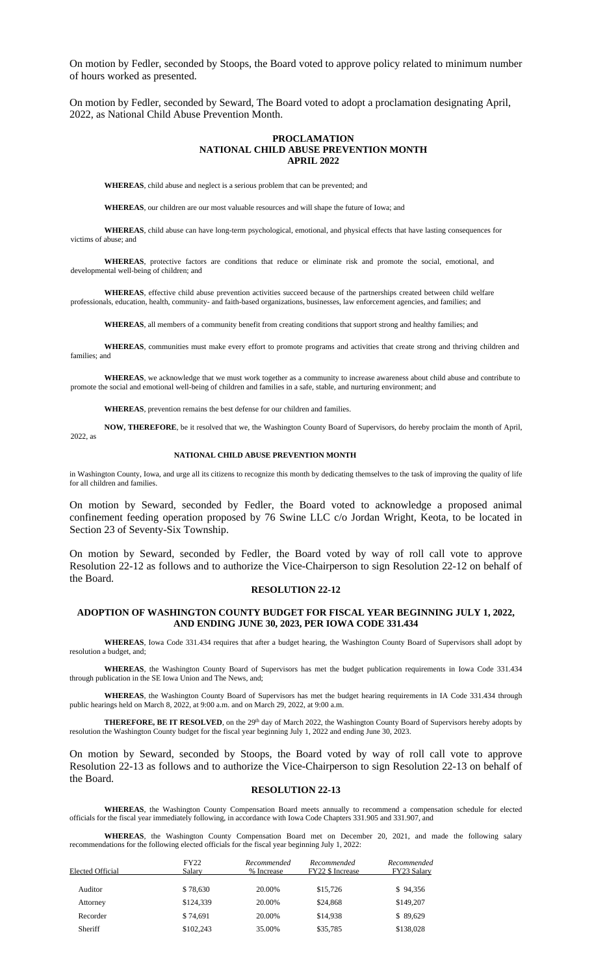On motion by Fedler, seconded by Stoops, the Board voted to approve policy related to minimum number of hours worked as presented.

On motion by Fedler, seconded by Seward, The Board voted to adopt a proclamation designating April, 2022, as National Child Abuse Prevention Month.

#### **PROCLAMATION NATIONAL CHILD ABUSE PREVENTION MONTH APRIL 2022**

**WHEREAS**, child abuse and neglect is a serious problem that can be prevented; and

**WHEREAS**, our children are our most valuable resources and will shape the future of Iowa; and

**WHEREAS**, child abuse can have long-term psychological, emotional, and physical effects that have lasting consequences for victims of abuse; and

**WHEREAS**, protective factors are conditions that reduce or eliminate risk and promote the social, emotional, and developmental well-being of children; and

**WHEREAS**, effective child abuse prevention activities succeed because of the partnerships created between child welfare professionals, education, health, community- and faith-based organizations, businesses, law enforcement agencies, and families; and

**WHEREAS**, all members of a community benefit from creating conditions that support strong and healthy families; and

**WHEREAS**, communities must make every effort to promote programs and activities that create strong and thriving children and families; and

**WHEREAS**, we acknowledge that we must work together as a community to increase awareness about child abuse and contribute to promote the social and emotional well-being of children and families in a safe, stable, and nurturing environment; and

**WHEREAS**, prevention remains the best defense for our children and families.

**NOW, THEREFORE**, be it resolved that we, the Washington County Board of Supervisors, do hereby proclaim the month of April, 2022, as

#### **NATIONAL CHILD ABUSE PREVENTION MONTH**

in Washington County, Iowa, and urge all its citizens to recognize this month by dedicating themselves to the task of improving the quality of life for all children and families.

On motion by Seward, seconded by Fedler, the Board voted to acknowledge a proposed animal confinement feeding operation proposed by 76 Swine LLC c/o Jordan Wright, Keota, to be located in Section 23 of Seventy-Six Township.

On motion by Seward, seconded by Fedler, the Board voted by way of roll call vote to approve Resolution 22-12 as follows and to authorize the Vice-Chairperson to sign Resolution 22-12 on behalf of the Board.

### **RESOLUTION 22-12**

## **ADOPTION OF WASHINGTON COUNTY BUDGET FOR FISCAL YEAR BEGINNING JULY 1, 2022, AND ENDING JUNE 30, 2023, PER IOWA CODE 331.434**

**WHEREAS**, Iowa Code 331.434 requires that after a budget hearing, the Washington County Board of Supervisors shall adopt by resolution a budget, and;

**WHEREAS**, the Washington County Board of Supervisors has met the budget publication requirements in Iowa Code 331.434 through publication in the SE Iowa Union and The News, and;

**WHEREAS**, the Washington County Board of Supervisors has met the budget hearing requirements in IA Code 331.434 through public hearings held on March 8, 2022, at 9:00 a.m. and on March 29, 2022, at 9:00 a.m.

**THEREFORE, BE IT RESOLVED**, on the 29th day of March 2022, the Washington County Board of Supervisors hereby adopts by resolution the Washington County budget for the fiscal year beginning July 1, 2022 and ending June 30, 2023.

On motion by Seward, seconded by Stoops, the Board voted by way of roll call vote to approve Resolution 22-13 as follows and to authorize the Vice-Chairperson to sign Resolution 22-13 on behalf of the Board.

#### **RESOLUTION 22-13**

**WHEREAS**, the Washington County Compensation Board meets annually to recommend a compensation schedule for elected officials for the fiscal year immediately following, in accordance with Iowa Code Chapters 331.905 and 331.907, and

**WHEREAS**, the Washington County Compensation Board met on December 20, 2021, and made the following salary recommendations for the following elected officials for the fiscal year beginning July 1, 2022:

| Elected Official | <b>FY22</b><br>Salary | Recommended<br>% Increase | Recommended<br><b>FY22 \$ Increase</b> | Recommended<br>FY23 Salary |
|------------------|-----------------------|---------------------------|----------------------------------------|----------------------------|
| Auditor          | \$78,630              | 20.00%                    | \$15,726                               | \$94,356                   |
| Attorney         | \$124,339             | 20.00%                    | \$24,868                               | \$149,207                  |
| Recorder         | \$74.691              | 20.00%                    | \$14,938                               | \$89,629                   |
| Sheriff          | \$102,243             | 35.00%                    | \$35,785                               | \$138,028                  |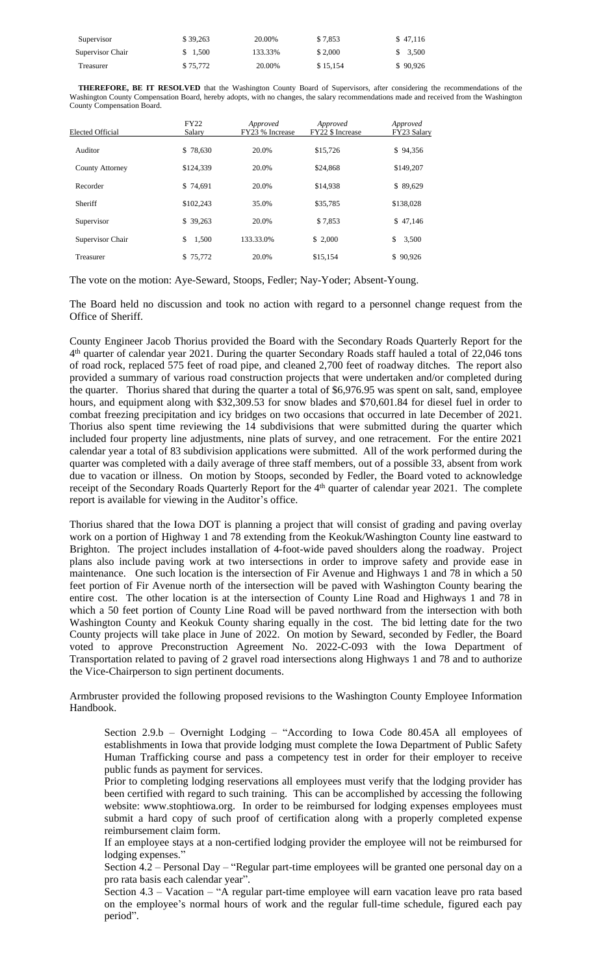| Supervisor       | \$39.263 | 20.0%     | \$7,853  | \$47.146    |
|------------------|----------|-----------|----------|-------------|
| Supervisor Chair | 1.500    | 133.33.0% | \$2,000  | 3,500<br>S. |
| Treasurer        | \$75,772 | 20.0%     | \$15,154 | \$90,926    |

The vote on the motion: Aye-Seward, Stoops, Fedler; Nay-Yoder; Absent-Young.

The Board held no discussion and took no action with regard to a personnel change request from the Office of Sheriff.

County Engineer Jacob Thorius provided the Board with the Secondary Roads Quarterly Report for the 4 th quarter of calendar year 2021. During the quarter Secondary Roads staff hauled a total of 22,046 tons of road rock, replaced 575 feet of road pipe, and cleaned 2,700 feet of roadway ditches. The report also provided a summary of various road construction projects that were undertaken and/or completed during the quarter. Thorius shared that during the quarter a total of \$6,976.95 was spent on salt, sand, employee hours, and equipment along with \$32,309.53 for snow blades and \$70,601.84 for diesel fuel in order to combat freezing precipitation and icy bridges on two occasions that occurred in late December of 2021. Thorius also spent time reviewing the 14 subdivisions that were submitted during the quarter which included four property line adjustments, nine plats of survey, and one retracement. For the entire 2021 calendar year a total of 83 subdivision applications were submitted. All of the work performed during the quarter was completed with a daily average of three staff members, out of a possible 33, absent from work due to vacation or illness. On motion by Stoops, seconded by Fedler, the Board voted to acknowledge receipt of the Secondary Roads Quarterly Report for the 4<sup>th</sup> quarter of calendar year 2021. The complete report is available for viewing in the Auditor's office.

Thorius shared that the Iowa DOT is planning a project that will consist of grading and paving overlay work on a portion of Highway 1 and 78 extending from the Keokuk/Washington County line eastward to Brighton. The project includes installation of 4-foot-wide paved shoulders along the roadway. Project plans also include paving work at two intersections in order to improve safety and provide ease in maintenance. One such location is the intersection of Fir Avenue and Highways 1 and 78 in which a 50 feet portion of Fir Avenue north of the intersection will be paved with Washington County bearing the entire cost. The other location is at the intersection of County Line Road and Highways 1 and 78 in which a 50 feet portion of County Line Road will be paved northward from the intersection with both Washington County and Keokuk County sharing equally in the cost. The bid letting date for the two County projects will take place in June of 2022. On motion by Seward, seconded by Fedler, the Board voted to approve Preconstruction Agreement No. 2022-C-093 with the Iowa Department of Transportation related to paving of 2 gravel road intersections along Highways 1 and 78 and to authorize the Vice-Chairperson to sign pertinent documents.

Armbruster provided the following proposed revisions to the Washington County Employee Information Handbook.

Section 2.9.b – Overnight Lodging – "According to Iowa Code 80.45A all employees of establishments in Iowa that provide lodging must complete the Iowa Department of Public Safety Human Trafficking course and pass a competency test in order for their employer to receive public funds as payment for services.

Prior to completing lodging reservations all employees must verify that the lodging provider has been certified with regard to such training. This can be accomplished by accessing the following website: www.stophtiowa.org. In order to be reimbursed for lodging expenses employees must submit a hard copy of such proof of certification along with a properly completed expense reimbursement claim form.

If an employee stays at a non-certified lodging provider the employee will not be reimbursed for lodging expenses."

Section 4.2 – Personal Day – "Regular part-time employees will be granted one personal day on a pro rata basis each calendar year".

Section 4.3 – Vacation – "A regular part-time employee will earn vacation leave pro rata based on the employee's normal hours of work and the regular full-time schedule, figured each pay period".